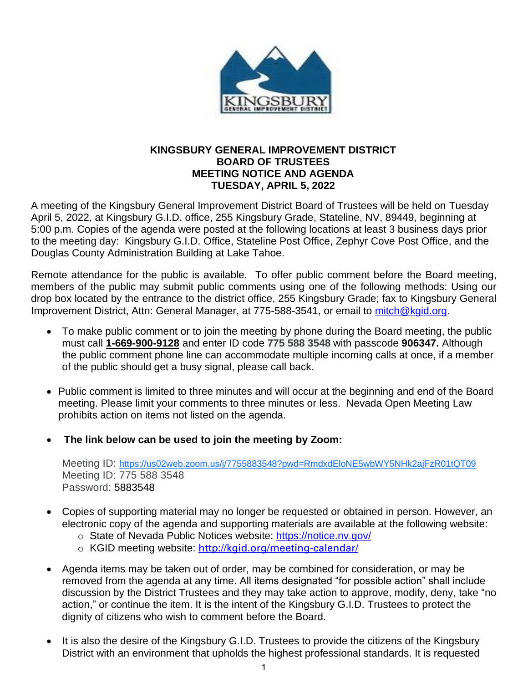

## **KINGSBURY GENERAL IMPROVEMENT DISTRICT BOARD OF TRUSTEES MEETING NOTICE AND AGENDA TUESDAY, APRIL 5, 2022**

A meeting of the Kingsbury General Improvement District Board of Trustees will be held on Tuesday April 5, 2022, at Kingsbury G.I.D. office, 255 Kingsbury Grade, Stateline, NV, 89449, beginning at 5:00 p.m. Copies of the agenda were posted at the following locations at least 3 business days prior to the meeting day: Kingsbury G.I.D. Office, Stateline Post Office, Zephyr Cove Post Office, and the Douglas County Administration Building at Lake Tahoe.

Remote attendance for the public is available. To offer public comment before the Board meeting, members of the public may submit public comments using one of the following methods: Using our drop box located by the entrance to the district office, 255 Kingsbury Grade; fax to Kingsbury General Improvement District, Attn: General Manager, at 775-588-3541, or email to [mitch@kgid.org.](mailto:mitch@kgid.org)

- To make public comment or to join the meeting by phone during the Board meeting, the public must call **1-669-900-9128** and enter ID code **775 588 3548** with passcode **906347.** Although the public comment phone line can accommodate multiple incoming calls at once, if a member of the public should get a busy signal, please call back.
- Public comment is limited to three minutes and will occur at the beginning and end of the Board meeting. Please limit your comments to three minutes or less. Nevada Open Meeting Law prohibits action on items not listed on the agenda.
- **The link below can be used to join the meeting by Zoom:**

Meeting ID: [https://us02web.zoom.us/j/7755883548?pwd=RmdxdEloNE5wbWY5NHk2ajFzR01tQT09](https://www.google.com/url?q=https://us02web.zoom.us/j/7755883548?pwd%3DRmdxdEloNE5wbWY5NHk2ajFzR01tQT09&sa=D&ust=1592244500210000&usg=AOvVaw3uwvheVieoCkaZn-5PfAyP) Meeting ID: 775 588 3548 Password: 5883548

- Copies of supporting material may no longer be requested or obtained in person. However, an electronic copy of the agenda and supporting materials are available at the following website:
	- o State of Nevada Public Notices website:<https://notice.nv.gov/>
	- o KGID meeting website: <http://kgid.org/meeting-calendar/>
- Agenda items may be taken out of order, may be combined for consideration, or may be removed from the agenda at any time. All items designated "for possible action" shall include discussion by the District Trustees and they may take action to approve, modify, deny, take "no action," or continue the item. It is the intent of the Kingsbury G.I.D. Trustees to protect the dignity of citizens who wish to comment before the Board.
- It is also the desire of the Kingsbury G.I.D. Trustees to provide the citizens of the Kingsbury District with an environment that upholds the highest professional standards. It is requested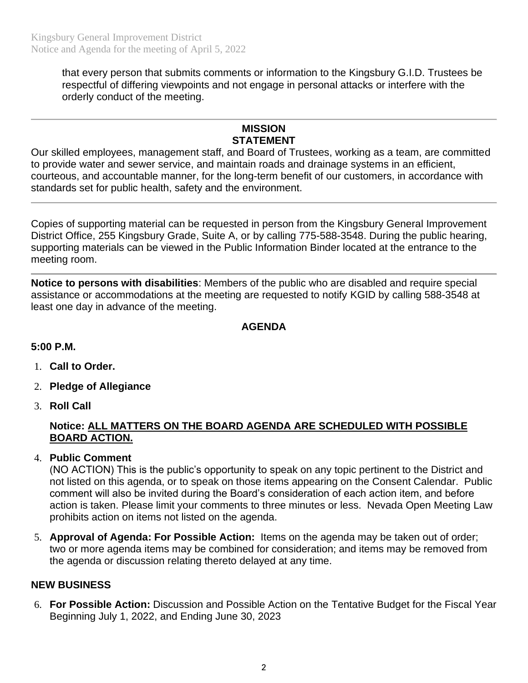that every person that submits comments or information to the Kingsbury G.I.D. Trustees be respectful of differing viewpoints and not engage in personal attacks or interfere with the orderly conduct of the meeting.

# **MISSION STATEMENT**

Our skilled employees, management staff, and Board of Trustees, working as a team, are committed to provide water and sewer service, and maintain roads and drainage systems in an efficient, courteous, and accountable manner, for the long-term benefit of our customers, in accordance with standards set for public health, safety and the environment.

Copies of supporting material can be requested in person from the Kingsbury General Improvement District Office, 255 Kingsbury Grade, Suite A, or by calling 775-588-3548. During the public hearing, supporting materials can be viewed in the Public Information Binder located at the entrance to the meeting room.

**Notice to persons with disabilities**: Members of the public who are disabled and require special assistance or accommodations at the meeting are requested to notify KGID by calling 588-3548 at least one day in advance of the meeting.

## **AGENDA**

## **5:00 P.M.**

- 1. **Call to Order.**
- 2. **Pledge of Allegiance**
- 3. **Roll Call**

## **Notice: ALL MATTERS ON THE BOARD AGENDA ARE SCHEDULED WITH POSSIBLE BOARD ACTION.**

4. **Public Comment**

(NO ACTION) This is the public's opportunity to speak on any topic pertinent to the District and not listed on this agenda, or to speak on those items appearing on the Consent Calendar. Public comment will also be invited during the Board's consideration of each action item, and before action is taken. Please limit your comments to three minutes or less. Nevada Open Meeting Law prohibits action on items not listed on the agenda.

5. **Approval of Agenda: For Possible Action:** Items on the agenda may be taken out of order; two or more agenda items may be combined for consideration; and items may be removed from the agenda or discussion relating thereto delayed at any time.

#### **NEW BUSINESS**

6. **For Possible Action:** Discussion and Possible Action on the Tentative Budget for the Fiscal Year Beginning July 1, 2022, and Ending June 30, 2023